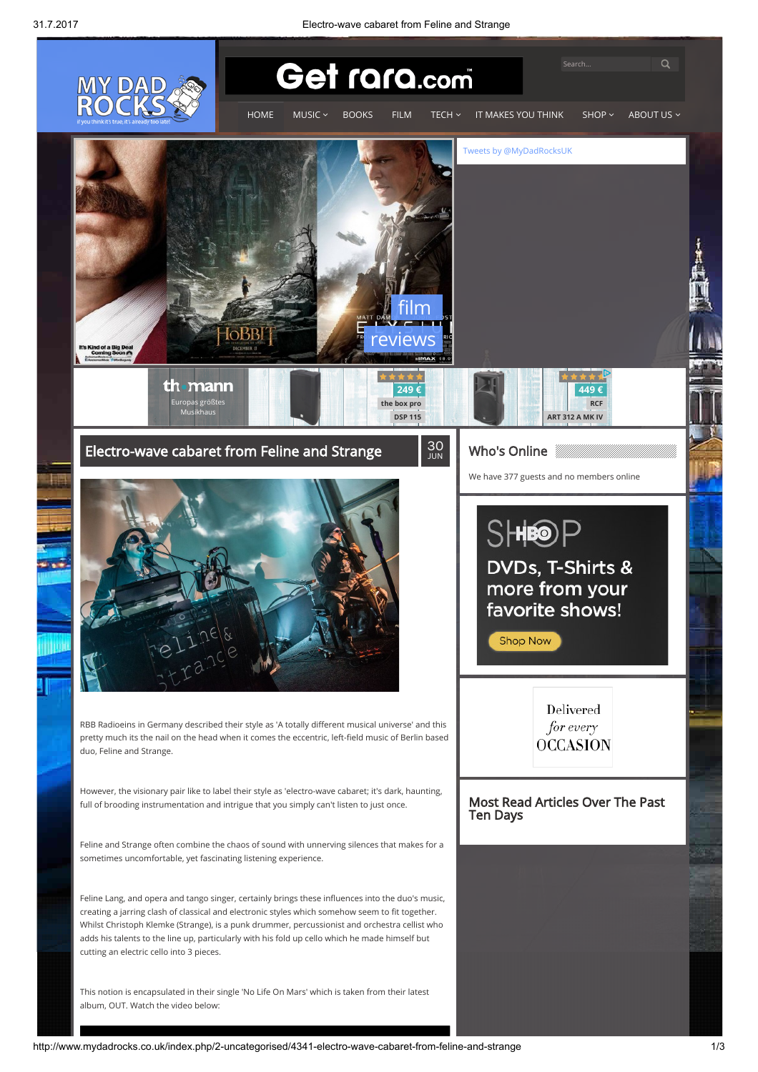